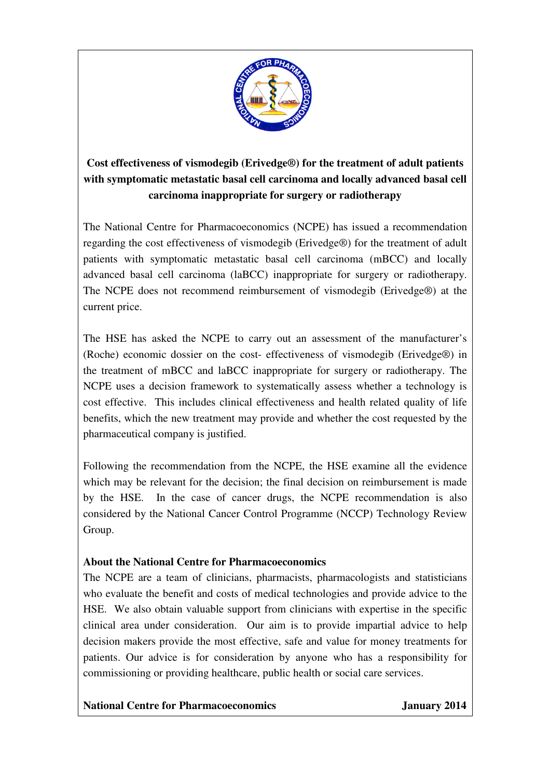

## **Cost effectiveness of vismodegib (Erivedge®) for the treatment of adult patients with symptomatic metastatic basal cell carcinoma and locally advanced basal cell carcinoma inappropriate for surgery or radiotherapy**

The National Centre for Pharmacoeconomics (NCPE) has issued a recommendation regarding the cost effectiveness of vismodegib (Erivedge®) for the treatment of adult patients with symptomatic metastatic basal cell carcinoma (mBCC) and locally advanced basal cell carcinoma (laBCC) inappropriate for surgery or radiotherapy. The NCPE does not recommend reimbursement of vismodegib (Erivedge®) at the current price.

The HSE has asked the NCPE to carry out an assessment of the manufacturer's (Roche) economic dossier on the cost- effectiveness of vismodegib (Erivedge®) in the treatment of mBCC and laBCC inappropriate for surgery or radiotherapy. The NCPE uses a decision framework to systematically assess whether a technology is cost effective. This includes clinical effectiveness and health related quality of life benefits, which the new treatment may provide and whether the cost requested by the pharmaceutical company is justified.

Following the recommendation from the NCPE, the HSE examine all the evidence which may be relevant for the decision; the final decision on reimbursement is made by the HSE. In the case of cancer drugs, the NCPE recommendation is also considered by the National Cancer Control Programme (NCCP) Technology Review Group.

## **About the National Centre for Pharmacoeconomics**

The NCPE are a team of clinicians, pharmacists, pharmacologists and statisticians who evaluate the benefit and costs of medical technologies and provide advice to the HSE. We also obtain valuable support from clinicians with expertise in the specific clinical area under consideration. Our aim is to provide impartial advice to help decision makers provide the most effective, safe and value for money treatments for patients. Our advice is for consideration by anyone who has a responsibility for commissioning or providing healthcare, public health or social care services.

**National Centre for Pharmacoeconomics January 2014**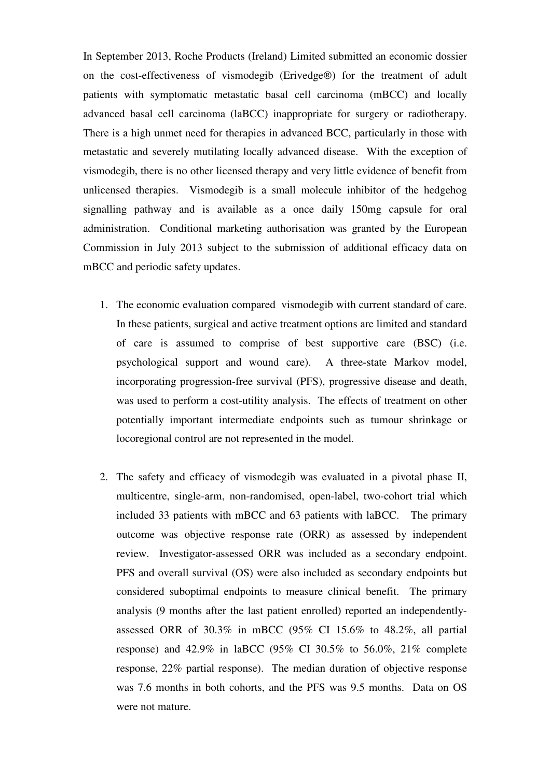In September 2013, Roche Products (Ireland) Limited submitted an economic dossier on the cost-effectiveness of vismodegib (Erivedge®) for the treatment of adult patients with symptomatic metastatic basal cell carcinoma (mBCC) and locally advanced basal cell carcinoma (laBCC) inappropriate for surgery or radiotherapy. There is a high unmet need for therapies in advanced BCC, particularly in those with metastatic and severely mutilating locally advanced disease. With the exception of vismodegib, there is no other licensed therapy and very little evidence of benefit from unlicensed therapies. Vismodegib is a small molecule inhibitor of the hedgehog signalling pathway and is available as a once daily 150mg capsule for oral administration. Conditional marketing authorisation was granted by the European Commission in July 2013 subject to the submission of additional efficacy data on mBCC and periodic safety updates.

- 1. The economic evaluation compared vismodegib with current standard of care. In these patients, surgical and active treatment options are limited and standard of care is assumed to comprise of best supportive care (BSC) (i.e. psychological support and wound care). A three-state Markov model, incorporating progression-free survival (PFS), progressive disease and death, was used to perform a cost-utility analysis. The effects of treatment on other potentially important intermediate endpoints such as tumour shrinkage or locoregional control are not represented in the model.
- 2. The safety and efficacy of vismodegib was evaluated in a pivotal phase II, multicentre, single-arm, non-randomised, open-label, two-cohort trial which included 33 patients with mBCC and 63 patients with laBCC. The primary outcome was objective response rate (ORR) as assessed by independent review. Investigator-assessed ORR was included as a secondary endpoint. PFS and overall survival (OS) were also included as secondary endpoints but considered suboptimal endpoints to measure clinical benefit. The primary analysis (9 months after the last patient enrolled) reported an independentlyassessed ORR of 30.3% in mBCC (95% CI 15.6% to 48.2%, all partial response) and 42.9% in laBCC (95% CI 30.5% to 56.0%, 21% complete response, 22% partial response). The median duration of objective response was 7.6 months in both cohorts, and the PFS was 9.5 months. Data on OS were not mature.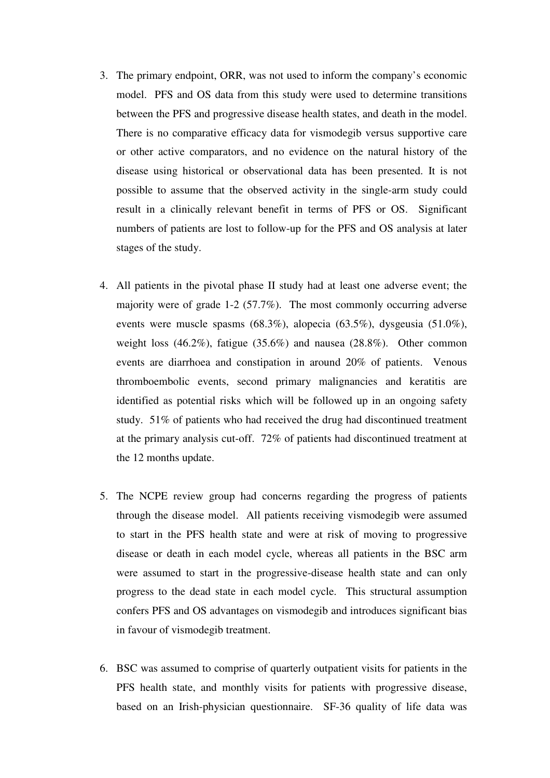- 3. The primary endpoint, ORR, was not used to inform the company's economic model. PFS and OS data from this study were used to determine transitions between the PFS and progressive disease health states, and death in the model. There is no comparative efficacy data for vismodegib versus supportive care or other active comparators, and no evidence on the natural history of the disease using historical or observational data has been presented. It is not possible to assume that the observed activity in the single-arm study could result in a clinically relevant benefit in terms of PFS or OS. Significant numbers of patients are lost to follow-up for the PFS and OS analysis at later stages of the study.
- 4. All patients in the pivotal phase II study had at least one adverse event; the majority were of grade 1-2 (57.7%). The most commonly occurring adverse events were muscle spasms (68.3%), alopecia (63.5%), dysgeusia (51.0%), weight loss (46.2%), fatigue (35.6%) and nausea (28.8%). Other common events are diarrhoea and constipation in around 20% of patients. Venous thromboembolic events, second primary malignancies and keratitis are identified as potential risks which will be followed up in an ongoing safety study. 51% of patients who had received the drug had discontinued treatment at the primary analysis cut-off. 72% of patients had discontinued treatment at the 12 months update.
- 5. The NCPE review group had concerns regarding the progress of patients through the disease model. All patients receiving vismodegib were assumed to start in the PFS health state and were at risk of moving to progressive disease or death in each model cycle, whereas all patients in the BSC arm were assumed to start in the progressive-disease health state and can only progress to the dead state in each model cycle. This structural assumption confers PFS and OS advantages on vismodegib and introduces significant bias in favour of vismodegib treatment.
- 6. BSC was assumed to comprise of quarterly outpatient visits for patients in the PFS health state, and monthly visits for patients with progressive disease, based on an Irish-physician questionnaire. SF-36 quality of life data was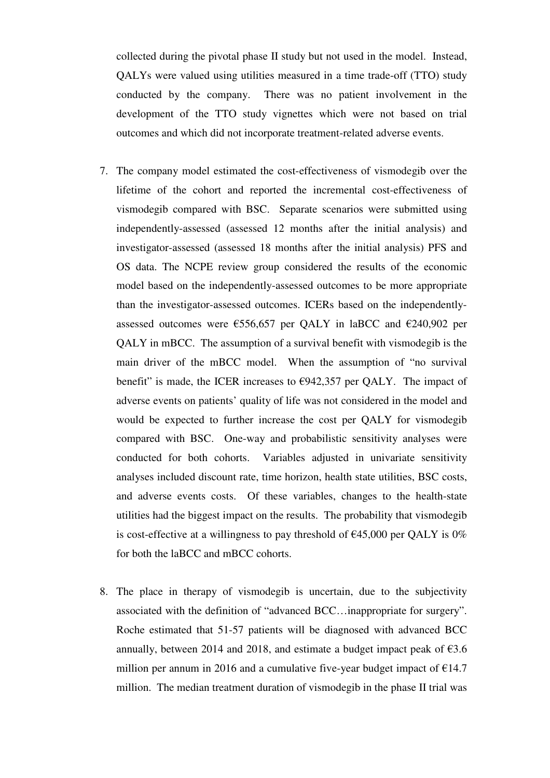collected during the pivotal phase II study but not used in the model. Instead, QALYs were valued using utilities measured in a time trade-off (TTO) study conducted by the company. There was no patient involvement in the development of the TTO study vignettes which were not based on trial outcomes and which did not incorporate treatment-related adverse events.

- 7. The company model estimated the cost-effectiveness of vismodegib over the lifetime of the cohort and reported the incremental cost-effectiveness of vismodegib compared with BSC. Separate scenarios were submitted using independently-assessed (assessed 12 months after the initial analysis) and investigator-assessed (assessed 18 months after the initial analysis) PFS and OS data. The NCPE review group considered the results of the economic model based on the independently-assessed outcomes to be more appropriate than the investigator-assessed outcomes. ICERs based on the independentlyassessed outcomes were  $\epsilon$ 556,657 per QALY in laBCC and  $\epsilon$ 240,902 per QALY in mBCC. The assumption of a survival benefit with vismodegib is the main driver of the mBCC model. When the assumption of "no survival benefit" is made, the ICER increases to  $\epsilon$ 942,357 per QALY. The impact of adverse events on patients' quality of life was not considered in the model and would be expected to further increase the cost per QALY for vismodegib compared with BSC. One-way and probabilistic sensitivity analyses were conducted for both cohorts. Variables adjusted in univariate sensitivity analyses included discount rate, time horizon, health state utilities, BSC costs, and adverse events costs. Of these variables, changes to the health-state utilities had the biggest impact on the results. The probability that vismodegib is cost-effective at a willingness to pay threshold of  $\epsilon$ 45,000 per QALY is 0% for both the laBCC and mBCC cohorts.
- 8. The place in therapy of vismodegib is uncertain, due to the subjectivity associated with the definition of "advanced BCC…inappropriate for surgery". Roche estimated that 51-57 patients will be diagnosed with advanced BCC annually, between 2014 and 2018, and estimate a budget impact peak of  $63.6$ million per annum in 2016 and a cumulative five-year budget impact of  $E14.7$ million. The median treatment duration of vismodegib in the phase II trial was